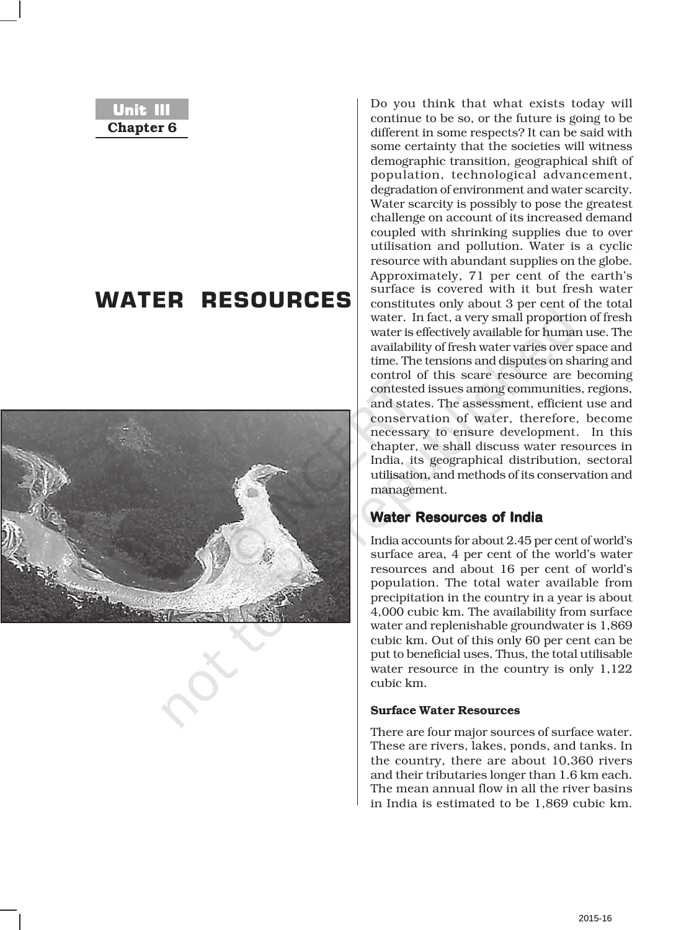# Unit III **Chapter 6**

# WATER RESOURCES



Do you think that what exists today will continue to be so, or the future is going to be different in some respects? It can be said with some certainty that the societies will witness demographic transition, geographical shift of population, technological advancement, degradation of environment and water scarcity. Water scarcity is possibly to pose the greatest challenge on account of its increased demand coupled with shrinking supplies due to over utilisation and pollution. Water is a cyclic resource with abundant supplies on the globe. Approximately, 71 per cent of the earth's surface is covered with it but fresh water constitutes only about 3 per cent of the total water. In fact, a very small proportion of fresh water is effectively available for human use. The availability of fresh water varies over space and time. The tensions and disputes on sharing and control of this scare resource are becoming contested issues among communities, regions, and states. The assessment, efficient use and conservation of water, therefore, become necessary to ensure development. In this chapter, we shall discuss water resources in India, its geographical distribution, sectoral utilisation, and methods of its conservation and management.

# **Water Resources of India**

India accounts for about 2.45 per cent of world's surface area, 4 per cent of the world's water resources and about 16 per cent of world's population. The total water available from precipitation in the country in a year is about 4,000 cubic km. The availability from surface water and replenishable groundwater is 1,869 cubic km. Out of this only 60 per cent can be put to beneficial uses. Thus, the total utilisable water resource in the country is only 1,122 cubic km.

## **Surface Water Resources**

There are four major sources of surface water. These are rivers, lakes, ponds, and tanks. In the country, there are about 10,360 rivers and their tributaries longer than 1.6 km each. The mean annual flow in all the river basins in India is estimated to be 1,869 cubic km.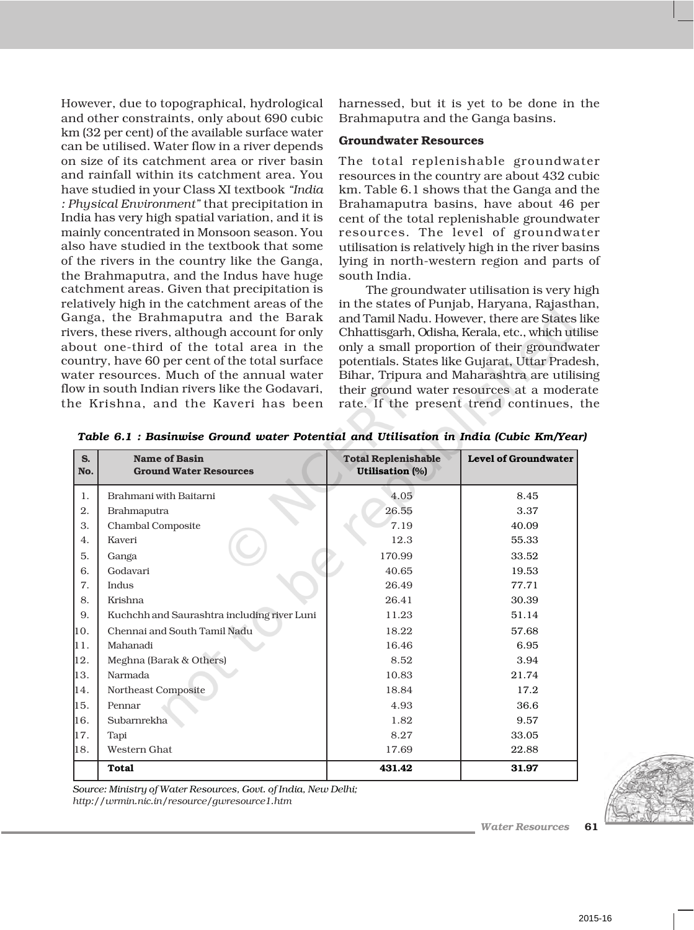However, due to topographical, hydrological and other constraints, only about 690 cubic km (32 per cent) of the available surface water can be utilised. Water flow in a river depends on size of its catchment area or river basin and rainfall within its catchment area. You have studied in your Class XI textbook *"India : Physical Environment"* that precipitation in India has very high spatial variation, and it is mainly concentrated in Monsoon season. You also have studied in the textbook that some of the rivers in the country like the Ganga, the Brahmaputra, and the Indus have huge catchment areas. Given that precipitation is relatively high in the catchment areas of the Ganga, the Brahmaputra and the Barak rivers, these rivers, although account for only about one-third of the total area in the country, have 60 per cent of the total surface water resources. Much of the annual water flow in south Indian rivers like the Godavari, the Krishna, and the Kaveri has been

harnessed, but it is yet to be done in the Brahmaputra and the Ganga basins.

#### **Groundwater Resources**

The total replenishable groundwater resources in the country are about 432 cubic km. Table 6.1 shows that the Ganga and the Brahamaputra basins, have about 46 per cent of the total replenishable groundwater resources. The level of groundwater utilisation is relatively high in the river basins lying in north-western region and parts of south India.

The groundwater utilisation is very high in the states of Punjab, Haryana, Rajasthan, and Tamil Nadu. However, there are States like Chhattisgarh, Odisha, Kerala, etc., which utilise only a small proportion of their groundwater potentials. States like Gujarat, Uttar Pradesh, Bihar, Tripura and Maharashtra are utilising their ground water resources at a moderate rate. If the present trend continues, the

| S.<br>No. | <b>Name of Basin</b><br><b>Ground Water Resources</b> | <b>Total Replenishable</b><br><b>Utilisation</b> (%) | Level of Groundwater |
|-----------|-------------------------------------------------------|------------------------------------------------------|----------------------|
| 1.        | Brahmani with Baitarni                                | 4.05                                                 | 8.45                 |
| 2.        | Brahmaputra                                           | 26.55                                                | 3.37                 |
| 3.        | Chambal Composite                                     | 7.19                                                 | 40.09                |
| 4.        | Kaveri                                                | 12.3                                                 | 55.33                |
| 5.        | Ganga                                                 | 170.99                                               | 33.52                |
| 6.        | Godavari                                              | 40.65                                                | 19.53                |
| 7.        | Indus                                                 | 26.49                                                | 77.71                |
| 8.        | Krishna                                               | 26.41                                                | 30.39                |
| 9.        | Kuchchh and Saurashtra including river Luni           | 11.23                                                | 51.14                |
| 10.       | Chennai and South Tamil Nadu                          | 18.22                                                | 57.68                |
| 11.       | Mahanadi                                              | 16.46                                                | 6.95                 |
| 12.       | Meghna (Barak & Others)                               | 8.52                                                 | 3.94                 |
| 13.       | Narmada                                               | 10.83                                                | 21.74                |
| 14.       | Northeast Composite                                   | 18.84                                                | 17.2                 |
| 15.       | Pennar                                                | 4.93                                                 | 36.6                 |
| 16.       | Subarnrekha                                           | 1.82                                                 | 9.57                 |
| 17.       | Tapi                                                  | 8.27                                                 | 33.05                |
| 18.       | Western Ghat                                          | 17.69                                                | 22.88                |
|           | <b>Total</b>                                          | 431.42                                               | 31.97                |

*Table 6.1 : Basinwise Ground water Potential and Utilisation in India (Cubic Km/Year)*

*Source: Ministry of Water Resources, Govt. of India, New Delhi; http://wrmin.nic.in/resource/gwresource1.htm*

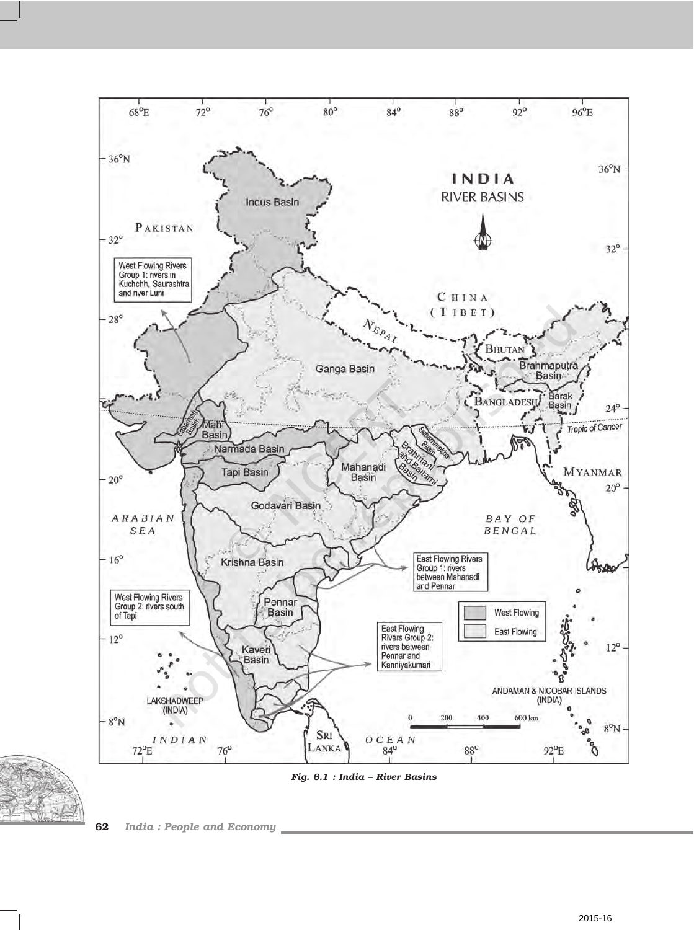





**62** *India : People and Economy*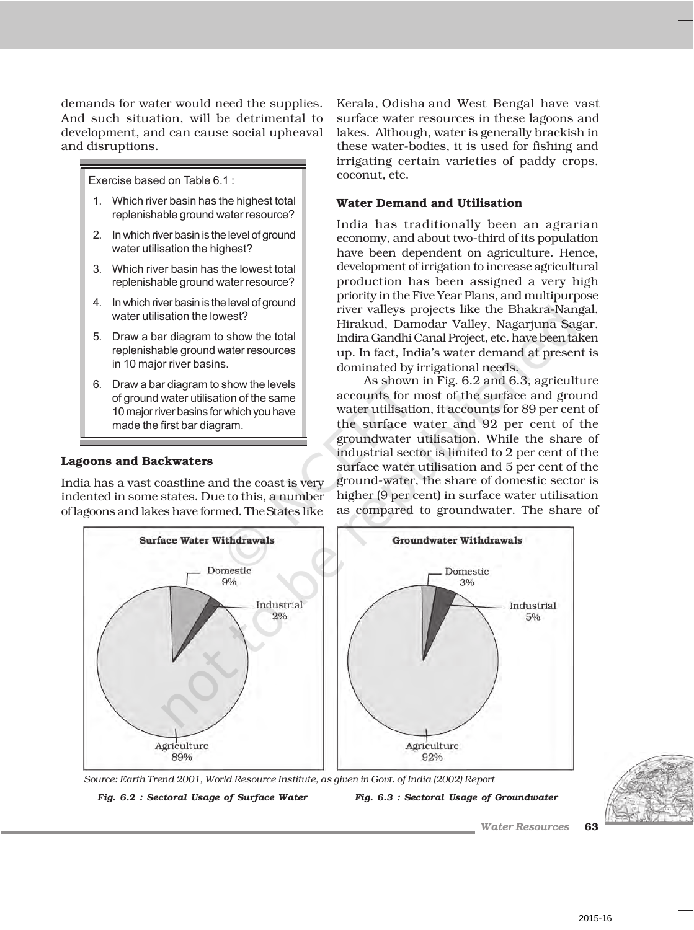demands for water would need the supplies. And such situation, will be detrimental to development, and can cause social upheaval and disruptions.

Exercise based on Table 6.1 :

- 1. Which river basin has the highest total replenishable ground water resource?
- 2. In which river basin is the level of ground water utilisation the highest?
- 3. Which river basin has the lowest total replenishable ground water resource?
- 4. In which river basin is the level of ground water utilisation the lowest?
- 5. Draw a bar diagram to show the total replenishable ground water resources in 10 major river basins.
- 6. Draw a bar diagram to show the levels of ground water utilisation of the same 10 major river basins for which you have made the first bar diagram.

#### **Lagoons and Backwaters**

India has a vast coastline and the coast is very indented in some states. Due to this, a number of lagoons and lakes have formed. The States like

Kerala, Odisha and West Bengal have vast surface water resources in these lagoons and lakes. Although, water is generally brackish in these water-bodies, it is used for fishing and irrigating certain varieties of paddy crops, coconut, etc.

## **Water Demand and Utilisation**

India has traditionally been an agrarian economy, and about two-third of its population have been dependent on agriculture. Hence, development of irrigation to increase agricultural production has been assigned a very high priority in the Five Year Plans, and multipurpose river valleys projects like the Bhakra-Nangal, Hirakud, Damodar Valley, Nagarjuna Sagar, Indira Gandhi Canal Project, etc. have been taken up. In fact, India's water demand at present is dominated by irrigational needs.

As shown in Fig. 6.2 and 6.3, agriculture accounts for most of the surface and ground water utilisation, it accounts for 89 per cent of the surface water and 92 per cent of the groundwater utilisation. While the share of industrial sector is limited to 2 per cent of the surface water utilisation and 5 per cent of the ground-water, the share of domestic sector is higher (9 per cent) in surface water utilisation as compared to groundwater. The share of



*Source: Earth Trend 2001, World Resource Institute, as given in Govt. of India (2002) Report*

## *Fig. 6.2 : Sectoral Usage of Surface Water*

*Fig. 6.3 : Sectoral Usage of Groundwater*

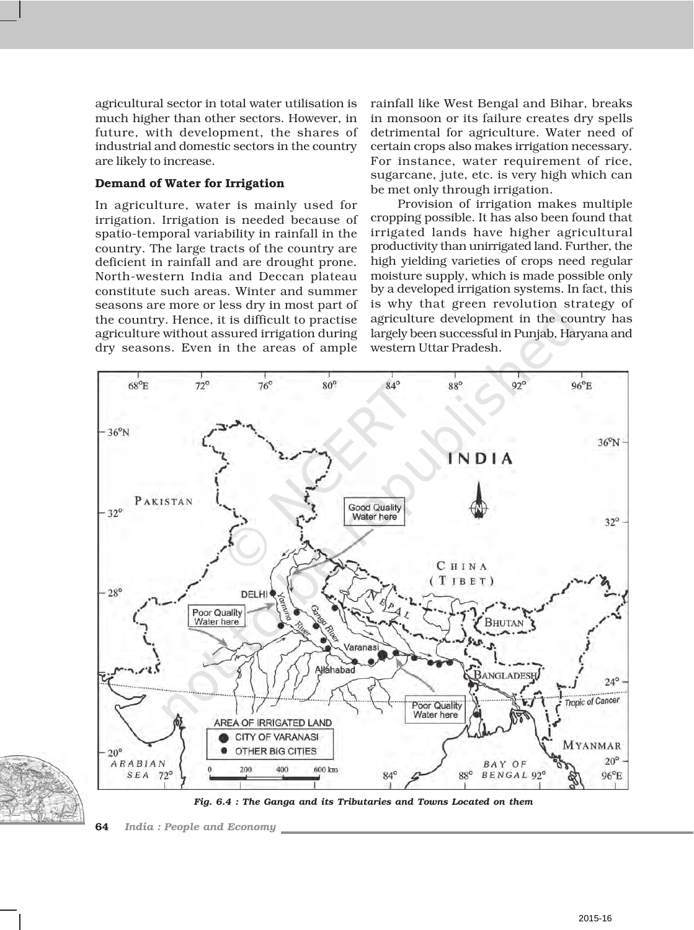agricultural sector in total water utilisation is much higher than other sectors. However, in future, with development, the shares of industrial and domestic sectors in the country are likely to increase.

## **Demand of Water for Irrigation**

In agriculture, water is mainly used for irrigation. Irrigation is needed because of spatio-temporal variability in rainfall in the country. The large tracts of the country are deficient in rainfall and are drought prone. North-western India and Deccan plateau constitute such areas. Winter and summer seasons are more or less dry in most part of the country. Hence, it is difficult to practise agriculture without assured irrigation during dry seasons. Even in the areas of ample

rainfall like West Bengal and Bihar, breaks in monsoon or its failure creates dry spells detrimental for agriculture. Water need of certain crops also makes irrigation necessary. For instance, water requirement of rice, sugarcane, jute, etc. is very high which can be met only through irrigation.

Provision of irrigation makes multiple cropping possible. It has also been found that irrigated lands have higher agricultural productivity than unirrigated land. Further, the high yielding varieties of crops need regular moisture supply, which is made possible only by a developed irrigation systems. In fact, this is why that green revolution strategy of agriculture development in the country has largely been successful in Punjab, Haryana and western Uttar Pradesh.



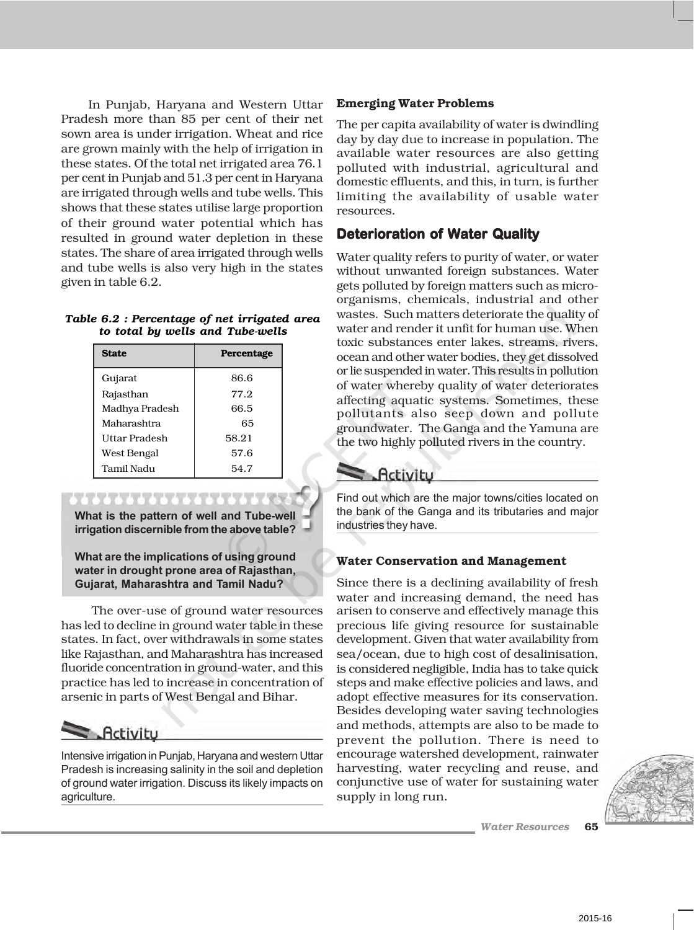In Punjab, Haryana and Western Uttar Pradesh more than 85 per cent of their net sown area is under irrigation. Wheat and rice are grown mainly with the help of irrigation in these states. Of the total net irrigated area 76.1 per cent in Punjab and 51.3 per cent in Haryana are irrigated through wells and tube wells. This shows that these states utilise large proportion of their ground water potential which has resulted in ground water depletion in these states. The share of area irrigated through wells and tube wells is also very high in the states given in table 6.2.

#### *Table 6.2 : Percentage of net irrigated area to total by wells and Tube-wells*

| <b>State</b>   | Percentage |
|----------------|------------|
| Gujarat        | 86.6       |
| Rajasthan      | 77.2       |
| Madhya Pradesh | 66.5       |
| Maharashtra    | 65         |
| Uttar Pradesh  | 58.21      |
| West Bengal    | 57.6       |
| Tamil Nadu     | 54.7       |

**What is the pattern of well and Tube-well irrigation discernible from the above table?**

. . . . . . . . . . .

**What are the implications of using ground water in drought prone area of Rajasthan, Gujarat, Maharashtra and Tamil Nadu?**

The over-use of ground water resources has led to decline in ground water table in these states. In fact, over withdrawals in some states like Rajasthan, and Maharashtra has increased fluoride concentration in ground-water, and this practice has led to increase in concentration of arsenic in parts of West Bengal and Bihar.



Intensive irrigation in Punjab, Haryana and western Uttar Pradesh is increasing salinity in the soil and depletion of ground water irrigation. Discuss its likely impacts on agriculture.

## **Emerging Water Problems**

The per capita availability of water is dwindling day by day due to increase in population. The available water resources are also getting polluted with industrial, agricultural and domestic effluents, and this, in turn, is further limiting the availability of usable water resources.

## **Deterioration of Water Quality**

Water quality refers to purity of water, or water without unwanted foreign substances. Water gets polluted by foreign matters such as microorganisms, chemicals, industrial and other wastes. Such matters deteriorate the quality of water and render it unfit for human use. When toxic substances enter lakes, streams, rivers, ocean and other water bodies, they get dissolved or lie suspended in water. This results in pollution of water whereby quality of water deteriorates affecting aquatic systems. Sometimes, these pollutants also seep down and pollute groundwater. The Ganga and the Yamuna are the two highly polluted rivers in the country.



Find out which are the major towns/cities located on the bank of the Ganga and its tributaries and major industries they have.

## **Water Conservation and Management**

Since there is a declining availability of fresh water and increasing demand, the need has arisen to conserve and effectively manage this precious life giving resource for sustainable development. Given that water availability from sea/ocean, due to high cost of desalinisation, is considered negligible, India has to take quick steps and make effective policies and laws, and adopt effective measures for its conservation. Besides developing water saving technologies and methods, attempts are also to be made to prevent the pollution. There is need to encourage watershed development, rainwater harvesting, water recycling and reuse, and conjunctive use of water for sustaining water supply in long run.

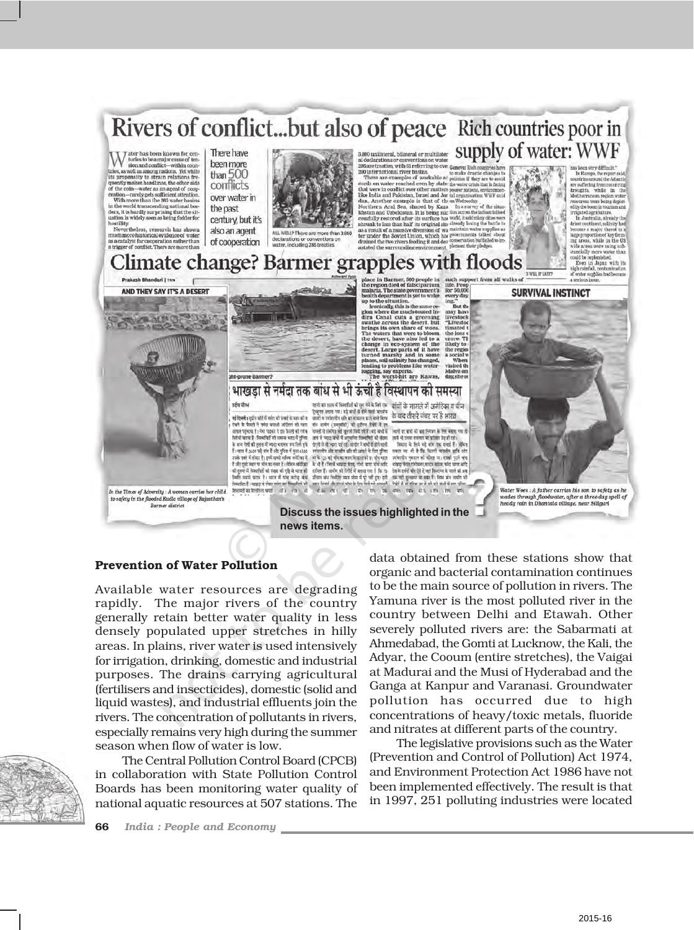

#### **Prevention of Water Pollution**

Available water resources are degrading rapidly. The major rivers of the country generally retain better water quality in less densely populated upper stretches in hilly areas. In plains, river water is used intensively for irrigation, drinking, domestic and industrial purposes. The drains carrying agricultural (fertilisers and insecticides), domestic (solid and liquid wastes), and industrial effluents join the rivers. The concentration of pollutants in rivers, especially remains very high during the summer season when flow of water is low.

The Central Pollution Control Board (CPCB) in collaboration with State Pollution Control Boards has been monitoring water quality of national aquatic resources at 507 stations. The

**66** *India : People and Economy*

data obtained from these stations show that organic and bacterial contamination continues to be the main source of pollution in rivers. The Yamuna river is the most polluted river in the country between Delhi and Etawah. Other severely polluted rivers are: the Sabarmati at Ahmedabad, the Gomti at Lucknow, the Kali, the Adyar, the Cooum (entire stretches), the Vaigai at Madurai and the Musi of Hyderabad and the Ganga at Kanpur and Varanasi. Groundwater pollution has occurred due to high concentrations of heavy/toxic metals, fluoride and nitrates at different parts of the country.

The legislative provisions such as the Water (Prevention and Control of Pollution) Act 1974, and Environment Protection Act 1986 have not been implemented effectively. The result is that in 1997, 251 polluting industries were located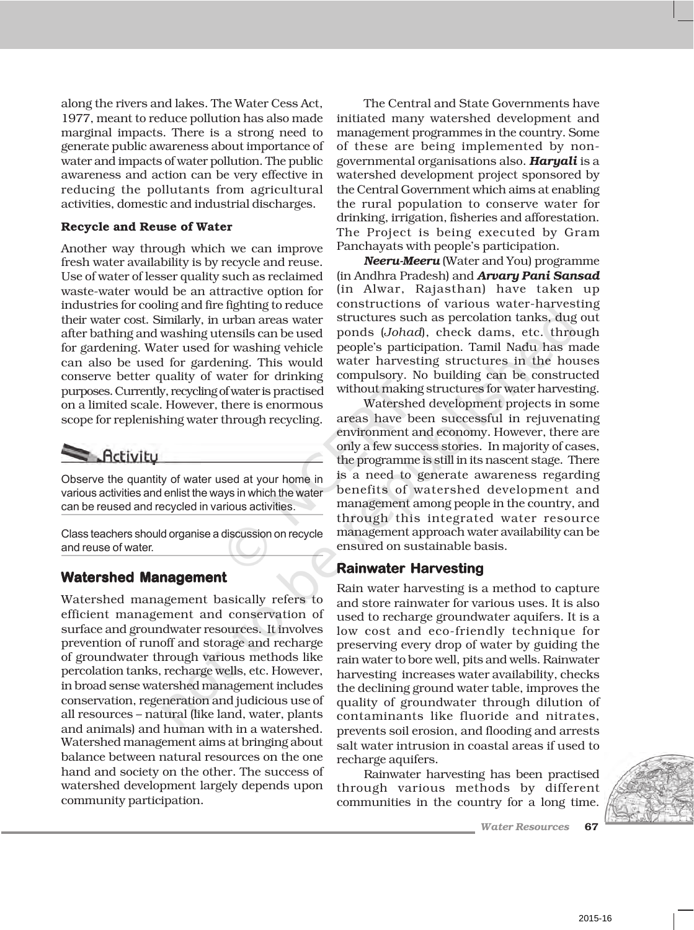along the rivers and lakes. The Water Cess Act, 1977, meant to reduce pollution has also made marginal impacts. There is a strong need to generate public awareness about importance of water and impacts of water pollution. The public awareness and action can be very effective in reducing the pollutants from agricultural activities, domestic and industrial discharges.

#### **Recycle and Reuse of Water**

Another way through which we can improve fresh water availability is by recycle and reuse. Use of water of lesser quality such as reclaimed waste-water would be an attractive option for industries for cooling and fire fighting to reduce their water cost. Similarly, in urban areas water after bathing and washing utensils can be used for gardening. Water used for washing vehicle can also be used for gardening. This would conserve better quality of water for drinking purposes. Currently, recycling of water is practised on a limited scale. However, there is enormous scope for replenishing water through recycling.

# **Activity**

Observe the quantity of water used at your home in various activities and enlist the ways in which the water can be reused and recycled in various activities.

Class teachers should organise a discussion on recycle and reuse of water.

## **Watershed Management**

Watershed management basically refers to efficient management and conservation of surface and groundwater resources. It involves prevention of runoff and storage and recharge of groundwater through various methods like percolation tanks, recharge wells, etc. However, in broad sense watershed management includes conservation, regeneration and judicious use of all resources – natural (like land, water, plants and animals) and human with in a watershed. Watershed management aims at bringing about balance between natural resources on the one hand and society on the other. The success of watershed development largely depends upon community participation.

The Central and State Governments have initiated many watershed development and management programmes in the country. Some of these are being implemented by nongovernmental organisations also. *Haryali* is a watershed development project sponsored by the Central Government which aims at enabling the rural population to conserve water for drinking, irrigation, fisheries and afforestation. The Project is being executed by Gram Panchayats with people's participation.

*Neeru-Meeru* (Water and You) programme (in Andhra Pradesh) and *Arvary Pani Sansad* (in Alwar, Rajasthan) have taken up constructions of various water-harvesting structures such as percolation tanks, dug out ponds (*Johad*), check dams, etc. through people's participation. Tamil Nadu has made water harvesting structures in the houses compulsory. No building can be constructed without making structures for water harvesting.

Watershed development projects in some areas have been successful in rejuvenating environment and economy. However, there are only a few success stories. In majority of cases, the programme is still in its nascent stage. There is a need to generate awareness regarding benefits of watershed development and management among people in the country, and through this integrated water resource management approach water availability can be ensured on sustainable basis.

#### **Rainwater Harvesting**

Rain water harvesting is a method to capture and store rainwater for various uses. It is also used to recharge groundwater aquifers. It is a low cost and eco-friendly technique for preserving every drop of water by guiding the rain water to bore well, pits and wells. Rainwater harvesting increases water availability, checks the declining ground water table, improves the quality of groundwater through dilution of contaminants like fluoride and nitrates, prevents soil erosion, and flooding and arrests salt water intrusion in coastal areas if used to recharge aquifers.

Rainwater harvesting has been practised through various methods by different communities in the country for a long time.

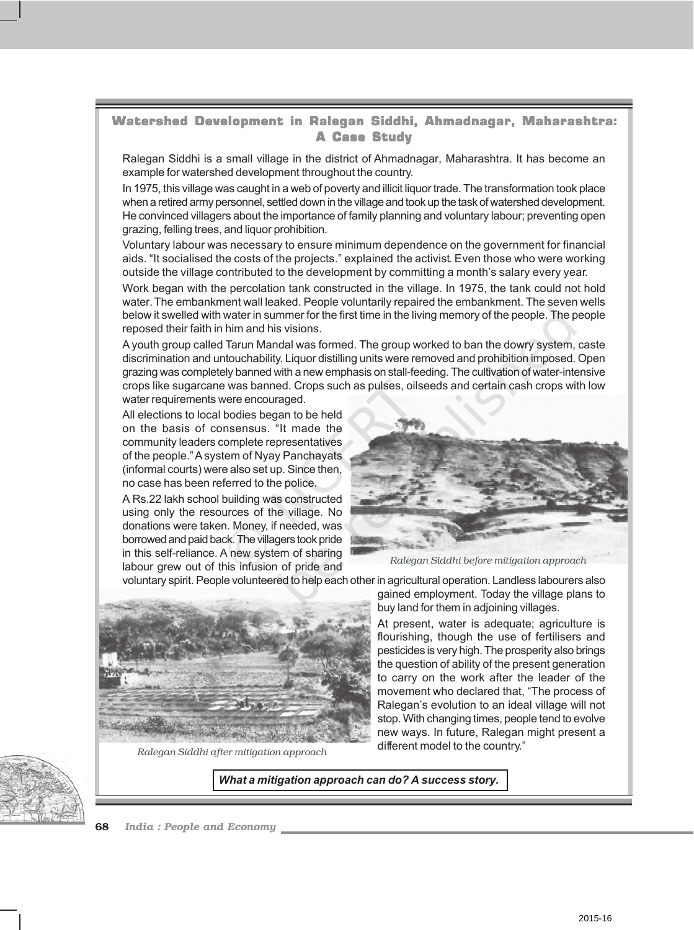## Watershed Development in Ralegan Siddhi, Ahmadnagar, Maharashtra: A Case Study

Ralegan Siddhi is a small village in the district of Ahmadnagar, Maharashtra. It has become an example for watershed development throughout the country.

In 1975, this village was caught in a web of poverty and illicit liquor trade. The transformation took place when a retired army personnel, settled down in the village and took up the task of watershed development. He convinced villagers about the importance of family planning and voluntary labour; preventing open grazing, felling trees, and liquor prohibition.

Voluntary labour was necessary to ensure minimum dependence on the government for financial aids. "It socialised the costs of the projects." explained the activist. Even those who were working outside the village contributed to the development by committing a month's salary every year.

Work began with the percolation tank constructed in the village. In 1975, the tank could not hold water. The embankment wall leaked. People voluntarily repaired the embankment. The seven wells below it swelled with water in summer for the first time in the living memory of the people. The people reposed their faith in him and his visions.

A youth group called Tarun Mandal was formed. The group worked to ban the dowry system, caste discrimination and untouchability. Liquor distilling units were removed and prohibition imposed. Open grazing was completely banned with a new emphasis on stall-feeding. The cultivation of water-intensive crops like sugarcane was banned. Crops such as pulses, oilseeds and certain cash crops with low water requirements were encouraged.

All elections to local bodies began to be held on the basis of consensus. "It made the community leaders complete representatives of the people." A system of Nyay Panchayats (informal courts) were also set up. Since then, no case has been referred to the police.

A Rs.22 lakh school building was constructed using only the resources of the village. No donations were taken. Money, if needed, was borrowed and paid back. The villagers took pride in this self-reliance. A new system of sharing labour grew out of this infusion of pride and



*Ralegan Siddhi before mitigation approach*

voluntary spirit. People volunteered to help each other in agricultural operation. Landless labourers also



*Ralegan Siddhi after mitigation approach*

gained employment. Today the village plans to buy land for them in adjoining villages.

At present, water is adequate; agriculture is flourishing, though the use of fertilisers and pesticides is very high. The prosperity also brings the question of ability of the present generation to carry on the work after the leader of the movement who declared that, "The process of Ralegan's evolution to an ideal village will not stop. With changing times, people tend to evolve new ways. In future, Ralegan might present a different model to the country."



*What a mitigation approach can do? A success story.*

**68** *India : People and Economy*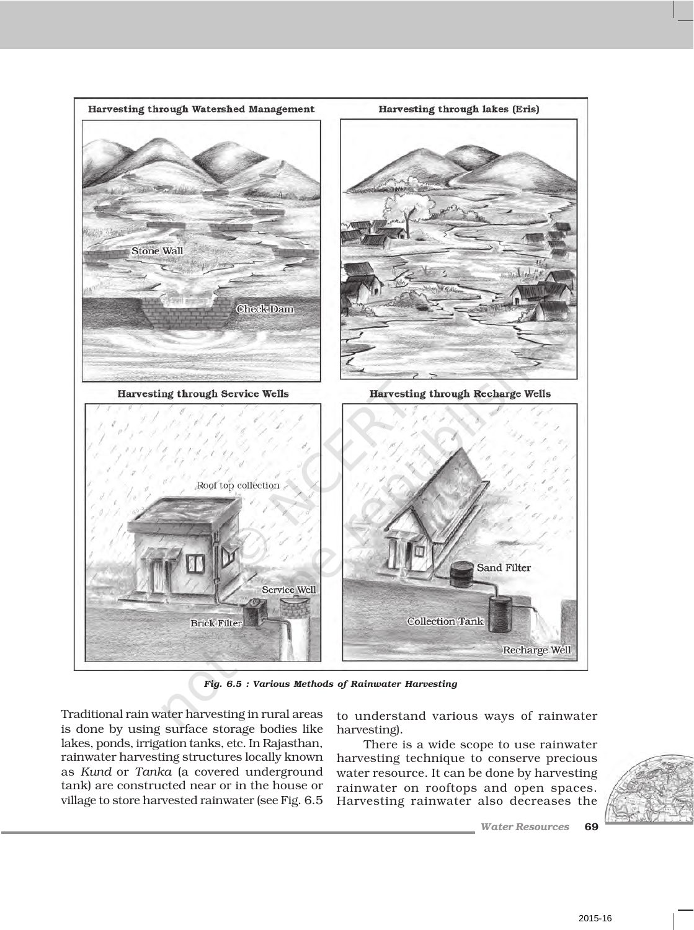

*Fig. 6.5 : Various Methods of Rainwater Harvesting*

Traditional rain water harvesting in rural areas is done by using surface storage bodies like lakes, ponds, irrigation tanks, etc. In Rajasthan, rainwater harvesting structures locally known as *Kund* or *Tanka* (a covered underground tank) are constructed near or in the house or village to store harvested rainwater (see Fig. 6.5

to understand various ways of rainwater harvesting).

There is a wide scope to use rainwater harvesting technique to conserve precious water resource. It can be done by harvesting rainwater on rooftops and open spaces. Harvesting rainwater also decreases the

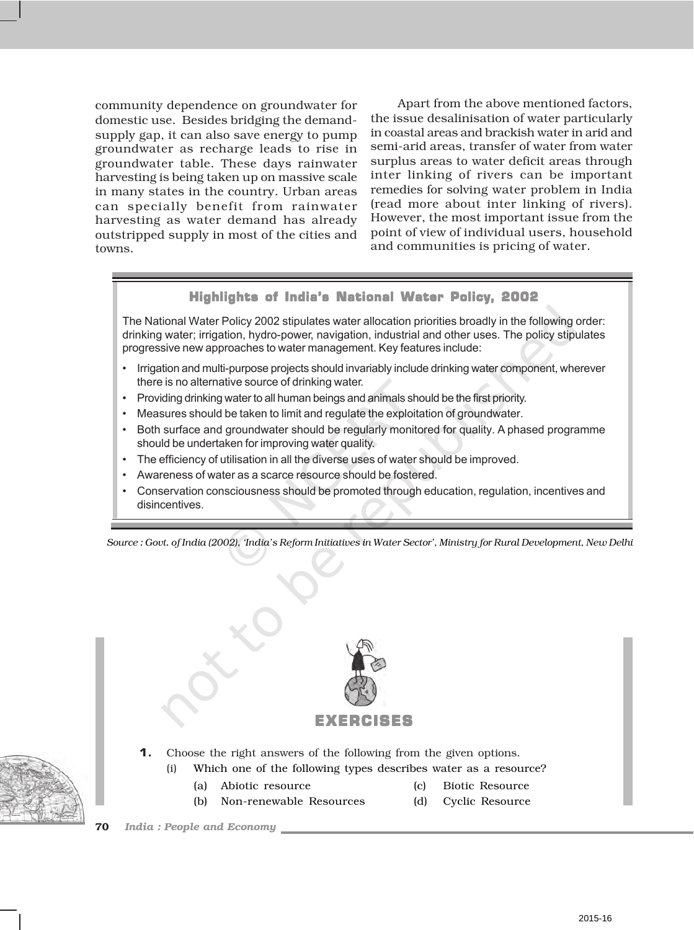community dependence on groundwater for domestic use. Besides bridging the demandsupply gap, it can also save energy to pump groundwater as recharge leads to rise in groundwater table. These days rainwater harvesting is being taken up on massive scale in many states in the country. Urban areas can specially benefit from rainwater harvesting as water demand has already outstripped supply in most of the cities and towns.

Apart from the above mentioned factors, the issue desalinisation of water particularly in coastal areas and brackish water in arid and semi-arid areas, transfer of water from water surplus areas to water deficit areas through inter linking of rivers can be important remedies for solving water problem in India (read more about inter linking of rivers). However, the most important issue from the point of view of individual users, household and communities is pricing of water.

## Highlights of India's National Water Policy, 2002

The National Water Policy 2002 stipulates water allocation priorities broadly in the following order: drinking water; irrigation, hydro-power, navigation, industrial and other uses. The policy stipulates progressive new approaches to water management. Key features include:

- Irrigation and multi-purpose projects should invariably include drinking water component, wherever there is no alternative source of drinking water.
- Providing drinking water to all human beings and animals should be the first priority.
- Measures should be taken to limit and regulate the exploitation of groundwater.
- Both surface and groundwater should be regularly monitored for quality. A phased programme should be undertaken for improving water quality.
- The efficiency of utilisation in all the diverse uses of water should be improved.
- Awareness of water as a scarce resource should be fostered.
- Conservation consciousness should be promoted through education, regulation, incentives and disincentives.

*Source : Govt. of India (2002), 'India's Reform Initiatives in Water Sector', Ministry for Rural Development, New Delhi*



## EXERCISES

- **1.** Choose the right answers of the following from the given options.
	- (i) Which one of the following types describes water as a resource?
		- (a) Abiotic resource (c) Biotic Resource
			-
		- (b) Non-renewable Resources (d) Cyclic Resource
- 

**70** *India : People and Economy*